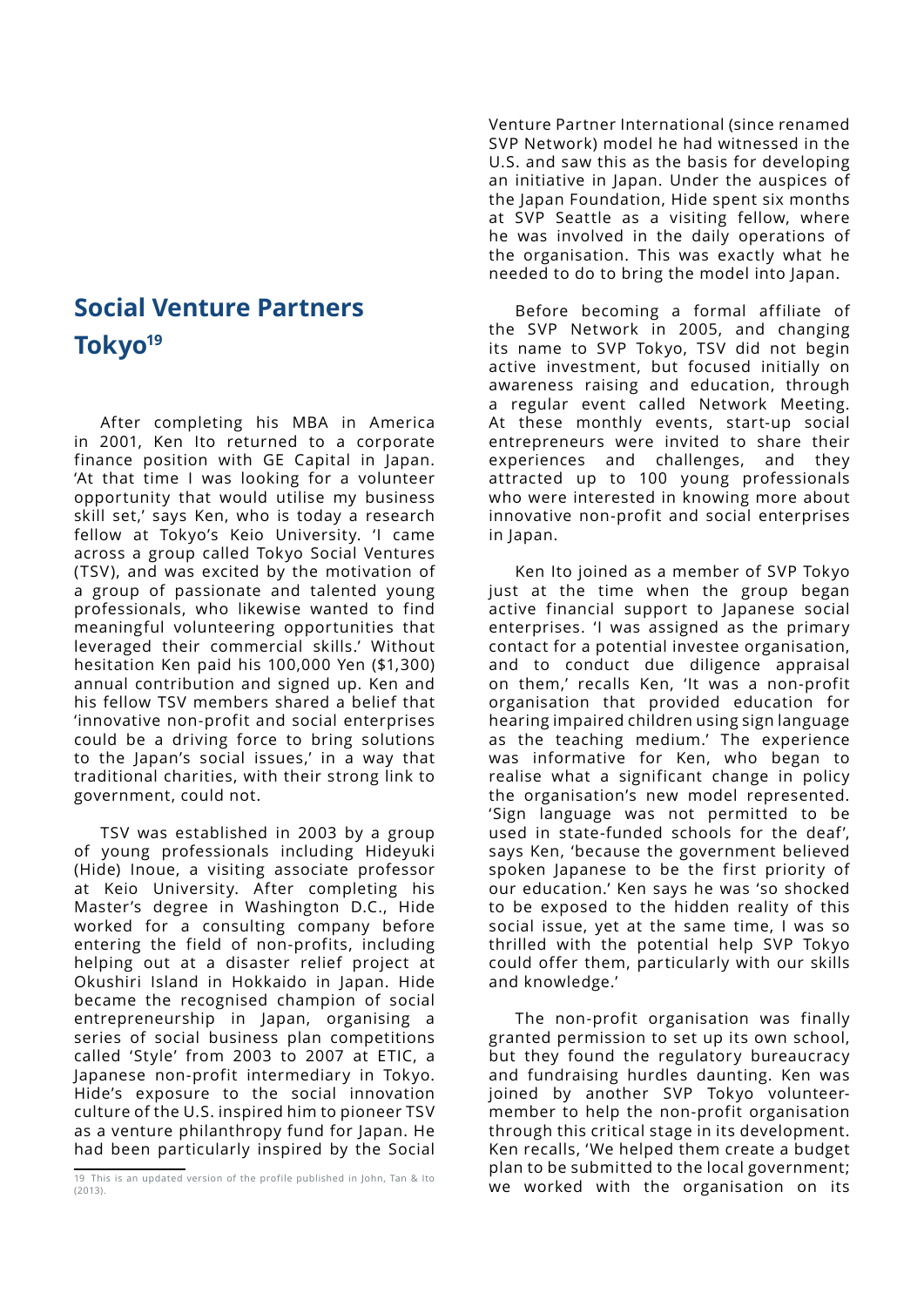## **Social Venture Partners Tokyo19**

After completing his MBA in America in 2001, Ken Ito returned to a corporate finance position with GE Capital in Japan. 'At that time I was looking for a volunteer opportunity that would utilise my business skill set,' says Ken, who is today a research fellow at Tokyo's Keio University. 'I came across a group called Tokyo Social Ventures (TSV), and was excited by the motivation of a group of passionate and talented young professionals, who likewise wanted to find meaningful volunteering opportunities that leveraged their commercial skills.' Without hesitation Ken paid his 100,000 Yen (\$1,300) annual contribution and signed up. Ken and his fellow TSV members shared a belief that 'innovative non-profit and social enterprises could be a driving force to bring solutions to the Japan's social issues,' in a way that traditional charities, with their strong link to government, could not.

TSV was established in 2003 by a group of young professionals including Hideyuki (Hide) Inoue, a visiting associate professor at Keio University. After completing his Master's degree in Washington D.C., Hide worked for a consulting company before entering the field of non-profits, including helping out at a disaster relief project at Okushiri Island in Hokkaido in Japan. Hide became the recognised champion of social entrepreneurship in Japan, organising a series of social business plan competitions called 'Style' from 2003 to 2007 at ETIC, a Japanese non-profit intermediary in Tokyo. Hide's exposure to the social innovation culture of the U.S. inspired him to pioneer TSV as a venture philanthropy fund for Japan. He had been particularly inspired by the Social

Venture Partner International (since renamed SVP Network) model he had witnessed in the U.S. and saw this as the basis for developing an initiative in Japan. Under the auspices of the Japan Foundation, Hide spent six months at SVP Seattle as a visiting fellow, where he was involved in the daily operations of the organisation. This was exactly what he needed to do to bring the model into Japan.

Before becoming a formal affiliate of the SVP Network in 2005, and changing its name to SVP Tokyo, TSV did not begin active investment, but focused initially on awareness raising and education, through a regular event called Network Meeting. At these monthly events, start-up social entrepreneurs were invited to share their experiences and challenges, and they attracted up to 100 young professionals who were interested in knowing more about innovative non-profit and social enterprises in Japan.

Ken Ito joined as a member of SVP Tokyo just at the time when the group began active financial support to Japanese social enterprises. 'I was assigned as the primary contact for a potential investee organisation, and to conduct due diligence appraisal on them,' recalls Ken, 'It was a non-profit organisation that provided education for hearing impaired children using sign language as the teaching medium.' The experience was informative for Ken, who began to realise what a significant change in policy the organisation's new model represented. 'Sign language was not permitted to be used in state-funded schools for the deaf', says Ken, 'because the government believed spoken Japanese to be the first priority of our education.' Ken says he was 'so shocked to be exposed to the hidden reality of this social issue, yet at the same time, I was so thrilled with the potential help SVP Tokyo could offer them, particularly with our skills and knowledge.'

The non-profit organisation was finally granted permission to set up its own school, but they found the regulatory bureaucracy and fundraising hurdles daunting. Ken was joined by another SVP Tokyo volunteermember to help the non-profit organisation through this critical stage in its development. Ken recalls, 'We helped them create a budget plan to be submitted to the local government; we worked with the organisation on its

<sup>19</sup> This is an updated version of the profile published in John, Tan & Ito (2013).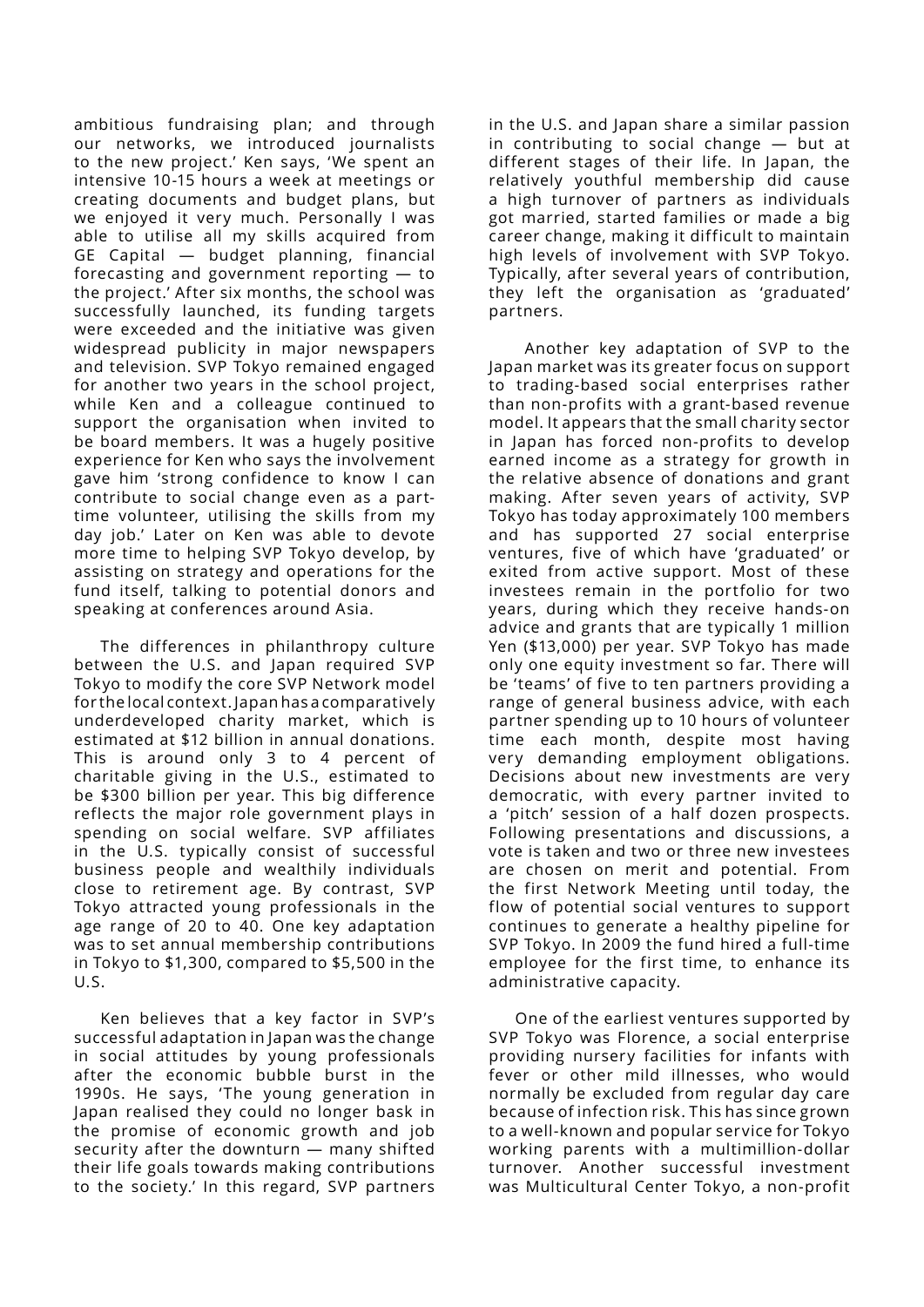ambitious fundraising plan; and through our networks, we introduced journalists to the new project.' Ken says, 'We spent an intensive 10-15 hours a week at meetings or creating documents and budget plans, but we enjoyed it very much. Personally I was able to utilise all my skills acquired from GE Capital — budget planning, financial forecasting and government reporting — to the project.' After six months, the school was successfully launched, its funding targets were exceeded and the initiative was given widespread publicity in major newspapers and television. SVP Tokyo remained engaged for another two years in the school project, while Ken and a colleague continued to support the organisation when invited to be board members. It was a hugely positive experience for Ken who says the involvement gave him 'strong confidence to know I can contribute to social change even as a parttime volunteer, utilising the skills from my day job.' Later on Ken was able to devote more time to helping SVP Tokyo develop, by assisting on strategy and operations for the fund itself, talking to potential donors and speaking at conferences around Asia.

The differences in philanthropy culture between the U.S. and Japan required SVP Tokyo to modify the core SVP Network model for the local context. Japan has a comparatively underdeveloped charity market, which is estimated at \$12 billion in annual donations. This is around only 3 to 4 percent of charitable giving in the U.S., estimated to be \$300 billion per year. This big difference reflects the major role government plays in spending on social welfare. SVP affiliates in the U.S. typically consist of successful business people and wealthily individuals close to retirement age. By contrast, SVP Tokyo attracted young professionals in the age range of 20 to 40. One key adaptation was to set annual membership contributions in Tokyo to \$1,300, compared to \$5,500 in the U.S.

Ken believes that a key factor in SVP's successful adaptation in Japan was the change in social attitudes by young professionals after the economic bubble burst in the 1990s. He says, 'The young generation in Japan realised they could no longer bask in the promise of economic growth and job security after the downturn — many shifted their life goals towards making contributions to the society.' In this regard, SVP partners in the U.S. and Japan share a similar passion in contributing to social change — but at different stages of their life. In Japan, the relatively youthful membership did cause a high turnover of partners as individuals got married, started families or made a big career change, making it difficult to maintain high levels of involvement with SVP Tokyo. Typically, after several years of contribution, they left the organisation as 'graduated' partners.

 Another key adaptation of SVP to the Japan market was its greater focus on support to trading-based social enterprises rather than non-profits with a grant-based revenue model. It appears that the small charity sector in Japan has forced non-profits to develop earned income as a strategy for growth in the relative absence of donations and grant making. After seven years of activity, SVP Tokyo has today approximately 100 members and has supported 27 social enterprise ventures, five of which have 'graduated' or exited from active support. Most of these investees remain in the portfolio for two years, during which they receive hands-on advice and grants that are typically 1 million Yen (\$13,000) per year. SVP Tokyo has made only one equity investment so far. There will be 'teams' of five to ten partners providing a range of general business advice, with each partner spending up to 10 hours of volunteer time each month, despite most having very demanding employment obligations. Decisions about new investments are very democratic, with every partner invited to a 'pitch' session of a half dozen prospects. Following presentations and discussions, a vote is taken and two or three new investees are chosen on merit and potential. From the first Network Meeting until today, the flow of potential social ventures to support continues to generate a healthy pipeline for SVP Tokyo. In 2009 the fund hired a full-time employee for the first time, to enhance its administrative capacity.

One of the earliest ventures supported by SVP Tokyo was Florence, a social enterprise providing nursery facilities for infants with fever or other mild illnesses, who would normally be excluded from regular day care because of infection risk. This has since grown to a well-known and popular service for Tokyo working parents with a multimillion-dollar turnover. Another successful investment was Multicultural Center Tokyo, a non-profit